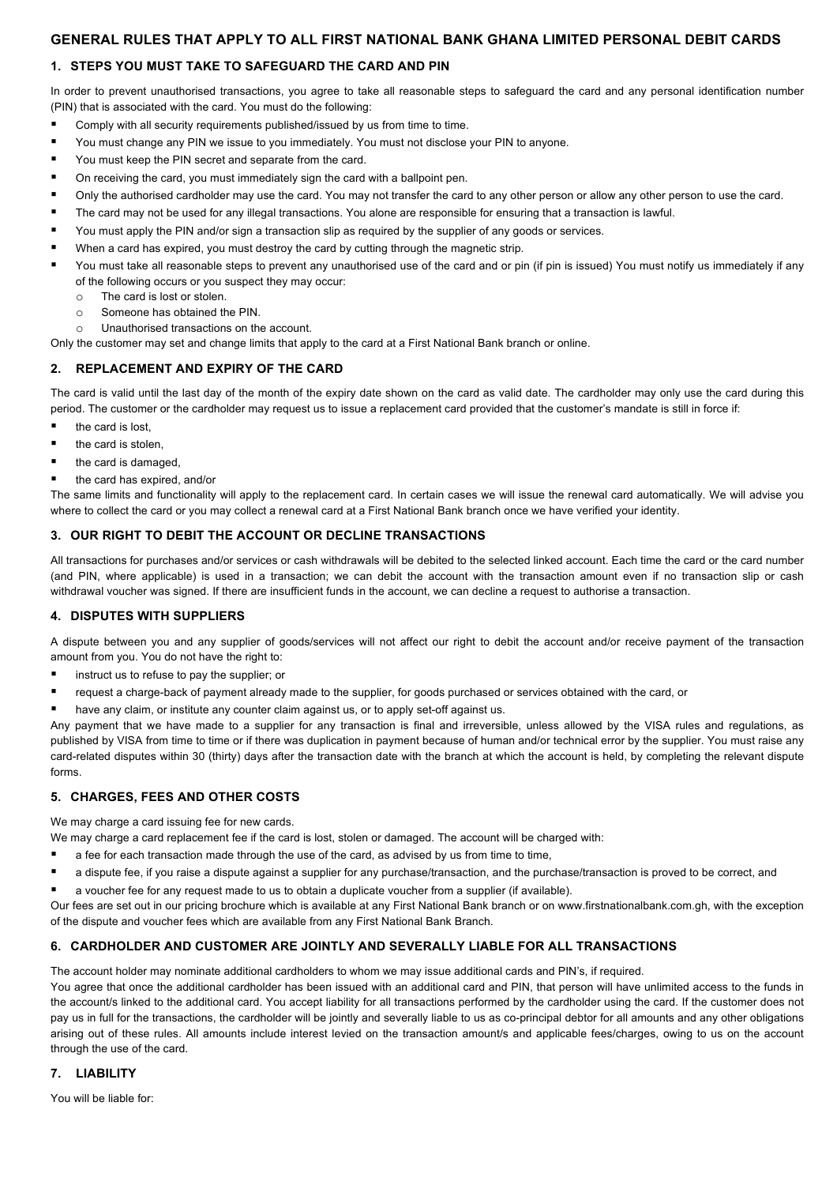# **1. STEPS YOU MUST TAKE TO SAFEGUARD THE CARD AND PIN**

In order to prevent unauthorised transactions, you agree to take all reasonable steps to safeguard the card and any personal identification number (PIN) that is associated with the card. You must do the following:

- Comply with all security requirements published/issued by us from time to time.
- § You must change any PIN we issue to you immediately. You must not disclose your PIN to anyone.
- You must keep the PIN secret and separate from the card.
- On receiving the card, you must immediately sign the card with a ballpoint pen.
- Only the authorised cardholder may use the card. You may not transfer the card to any other person or allow any other person to use the card.
- The card may not be used for any illegal transactions. You alone are responsible for ensuring that a transaction is lawful.
- You must apply the PIN and/or sign a transaction slip as required by the supplier of any goods or services.
- When a card has expired, you must destroy the card by cutting through the magnetic strip.
- You must take all reasonable steps to prevent any unauthorised use of the card and or pin (if pin is issued) You must notify us immediately if any of the following occurs or you suspect they may occur:
	- o The card is lost or stolen.
	- o Someone has obtained the PIN.
	- o Unauthorised transactions on the account.

Only the customer may set and change limits that apply to the card at a First National Bank branch or online.

## **2. REPLACEMENT AND EXPIRY OF THE CARD**

The card is valid until the last day of the month of the expiry date shown on the card as valid date. The cardholder may only use the card during this period. The customer or the cardholder may request us to issue a replacement card provided that the customer's mandate is still in force if:

- the card is lost.
- the card is stolen
- the card is damaged,
- § the card has expired, and/or

The same limits and functionality will apply to the replacement card. In certain cases we will issue the renewal card automatically. We will advise you where to collect the card or you may collect a renewal card at a First National Bank branch once we have verified your identity.

### **3. OUR RIGHT TO DEBIT THE ACCOUNT OR DECLINE TRANSACTIONS**

All transactions for purchases and/or services or cash withdrawals will be debited to the selected linked account. Each time the card or the card number (and PIN, where applicable) is used in a transaction; we can debit the account with the transaction amount even if no transaction slip or cash withdrawal voucher was signed. If there are insufficient funds in the account, we can decline a request to authorise a transaction.

### **4. DISPUTES WITH SUPPLIERS**

A dispute between you and any supplier of goods/services will not affect our right to debit the account and/or receive payment of the transaction amount from you. You do not have the right to:

- instruct us to refuse to pay the supplier; or
- request a charge-back of payment already made to the supplier, for goods purchased or services obtained with the card, or
- have any claim, or institute any counter claim against us, or to apply set-off against us.

Any payment that we have made to a supplier for any transaction is final and irreversible, unless allowed by the VISA rules and regulations, as published by VISA from time to time or if there was duplication in payment because of human and/or technical error by the supplier. You must raise any card-related disputes within 30 (thirty) days after the transaction date with the branch at which the account is held, by completing the relevant dispute forms.

### **5. CHARGES, FEES AND OTHER COSTS**

We may charge a card issuing fee for new cards.

We may charge a card replacement fee if the card is lost, stolen or damaged. The account will be charged with:

- a fee for each transaction made through the use of the card, as advised by us from time to time,
- a dispute fee, if you raise a dispute against a supplier for any purchase/transaction, and the purchase/transaction is proved to be correct, and
- a voucher fee for any request made to us to obtain a duplicate voucher from a supplier (if available).

Our fees are set out in our pricing brochure which is available at any First National Bank branch or on www.firstnationalbank.com.gh, with the exception of the dispute and voucher fees which are available from any First National Bank Branch.

### **6. CARDHOLDER AND CUSTOMER ARE JOINTLY AND SEVERALLY LIABLE FOR ALL TRANSACTIONS**

The account holder may nominate additional cardholders to whom we may issue additional cards and PIN's, if required.

You agree that once the additional cardholder has been issued with an additional card and PIN, that person will have unlimited access to the funds in the account/s linked to the additional card. You accept liability for all transactions performed by the cardholder using the card. If the customer does not pay us in full for the transactions, the cardholder will be jointly and severally liable to us as co-principal debtor for all amounts and any other obligations arising out of these rules. All amounts include interest levied on the transaction amount/s and applicable fees/charges, owing to us on the account through the use of the card.

## **7. LIABILITY**

You will be liable for: